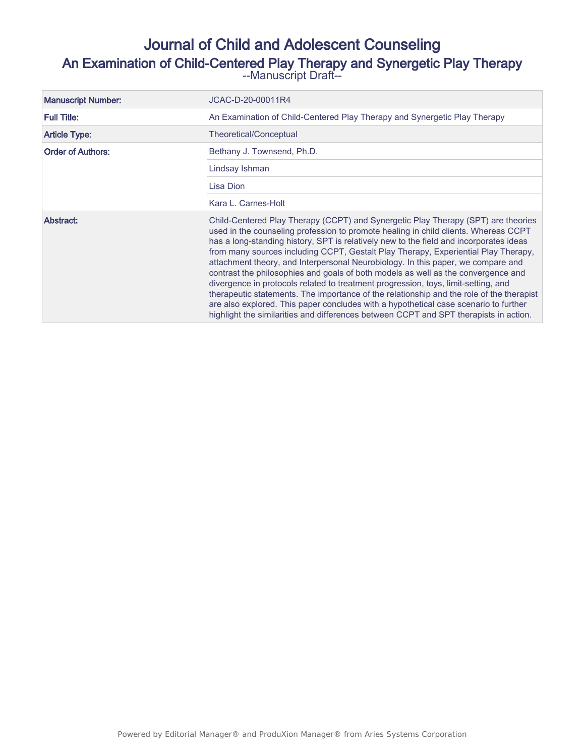# Journal of Child and Adolescent Counseling An Examination of Child-Centered Play Therapy and Synergetic Play Therapy --Manuscript Draft--

| <b>Manuscript Number:</b> | JCAC-D-20-00011R4                                                                                                                                                                                                                                                                                                                                                                                                                                                                                                                                                                                                                                                                                                                                                                                                                                                                                    |  |
|---------------------------|------------------------------------------------------------------------------------------------------------------------------------------------------------------------------------------------------------------------------------------------------------------------------------------------------------------------------------------------------------------------------------------------------------------------------------------------------------------------------------------------------------------------------------------------------------------------------------------------------------------------------------------------------------------------------------------------------------------------------------------------------------------------------------------------------------------------------------------------------------------------------------------------------|--|
| <b>Full Title:</b>        | An Examination of Child-Centered Play Therapy and Synergetic Play Therapy                                                                                                                                                                                                                                                                                                                                                                                                                                                                                                                                                                                                                                                                                                                                                                                                                            |  |
| <b>Article Type:</b>      | Theoretical/Conceptual                                                                                                                                                                                                                                                                                                                                                                                                                                                                                                                                                                                                                                                                                                                                                                                                                                                                               |  |
| <b>Order of Authors:</b>  | Bethany J. Townsend, Ph.D.                                                                                                                                                                                                                                                                                                                                                                                                                                                                                                                                                                                                                                                                                                                                                                                                                                                                           |  |
|                           | Lindsay Ishman                                                                                                                                                                                                                                                                                                                                                                                                                                                                                                                                                                                                                                                                                                                                                                                                                                                                                       |  |
|                           | Lisa Dion                                                                                                                                                                                                                                                                                                                                                                                                                                                                                                                                                                                                                                                                                                                                                                                                                                                                                            |  |
|                           | Kara L. Carnes-Holt                                                                                                                                                                                                                                                                                                                                                                                                                                                                                                                                                                                                                                                                                                                                                                                                                                                                                  |  |
| Abstract:                 | Child-Centered Play Therapy (CCPT) and Synergetic Play Therapy (SPT) are theories<br>used in the counseling profession to promote healing in child clients. Whereas CCPT<br>has a long-standing history, SPT is relatively new to the field and incorporates ideas<br>from many sources including CCPT, Gestalt Play Therapy, Experiential Play Therapy,<br>attachment theory, and Interpersonal Neurobiology. In this paper, we compare and<br>contrast the philosophies and goals of both models as well as the convergence and<br>divergence in protocols related to treatment progression, toys, limit-setting, and<br>therapeutic statements. The importance of the relationship and the role of the therapist<br>are also explored. This paper concludes with a hypothetical case scenario to further<br>highlight the similarities and differences between CCPT and SPT therapists in action. |  |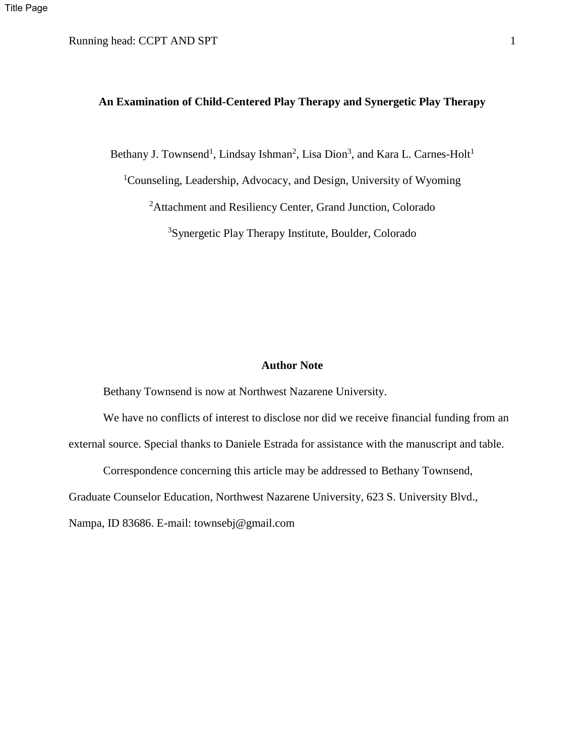# Running head: CCPT AND SPT 1

# **An Examination of Child-Centered Play Therapy and Synergetic Play Therapy**

Bethany J. Townsend<sup>1</sup>, Lindsay Ishman<sup>2</sup>, Lisa Dion<sup>3</sup>, and Kara L. Carnes-Holt<sup>1</sup>

<sup>1</sup>Counseling, Leadership, Advocacy, and Design, University of Wyoming

<sup>2</sup>Attachment and Resiliency Center, Grand Junction, Colorado

<sup>3</sup>Synergetic Play Therapy Institute, Boulder, Colorado

### **Author Note**

Bethany Townsend is now at Northwest Nazarene University.

We have no conflicts of interest to disclose nor did we receive financial funding from an external source. Special thanks to Daniele Estrada for assistance with the manuscript and table.

Correspondence concerning this article may be addressed to Bethany Townsend,

Graduate Counselor Education, Northwest Nazarene University, 623 S. University Blvd.,

Nampa, ID 83686. E-mail: townsebj@gmail.com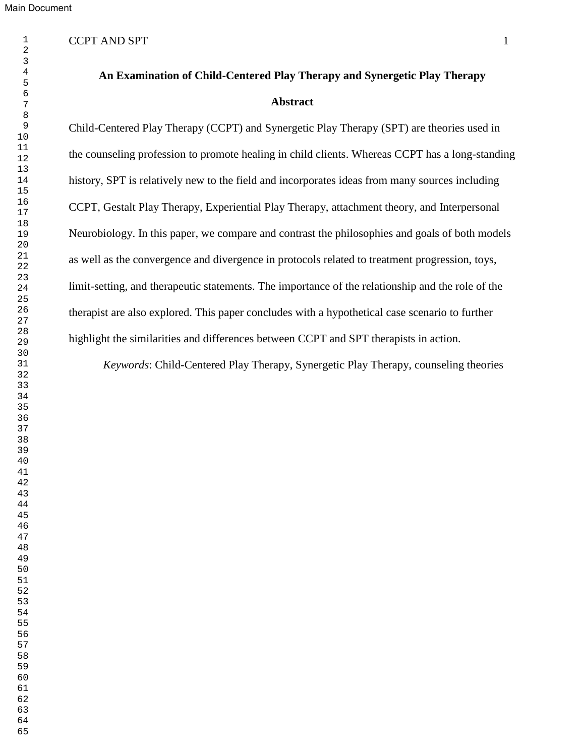# CCPT AND SPT 1

#### 

**An Examination of Child-Centered Play Therapy and Synergetic Play Therapy Abstract**

Child-Centered Play Therapy (CCPT) and Synergetic Play Therapy (SPT) are theories used in the counseling profession to promote healing in child clients. Whereas CCPT has a long-standing history, SPT is relatively new to the field and incorporates ideas from many sources including CCPT, Gestalt Play Therapy, Experiential Play Therapy, attachment theory, and Interpersonal Neurobiology. In this paper, we compare and contrast the philosophies and goals of both models as well as the convergence and divergence in protocols related to treatment progression, toys, limit-setting, and therapeutic statements. The importance of the relationship and the role of the therapist are also explored. This paper concludes with a hypothetical case scenario to further highlight the similarities and differences between CCPT and SPT therapists in action.

*Keywords*: Child-Centered Play Therapy, Synergetic Play Therapy, counseling theories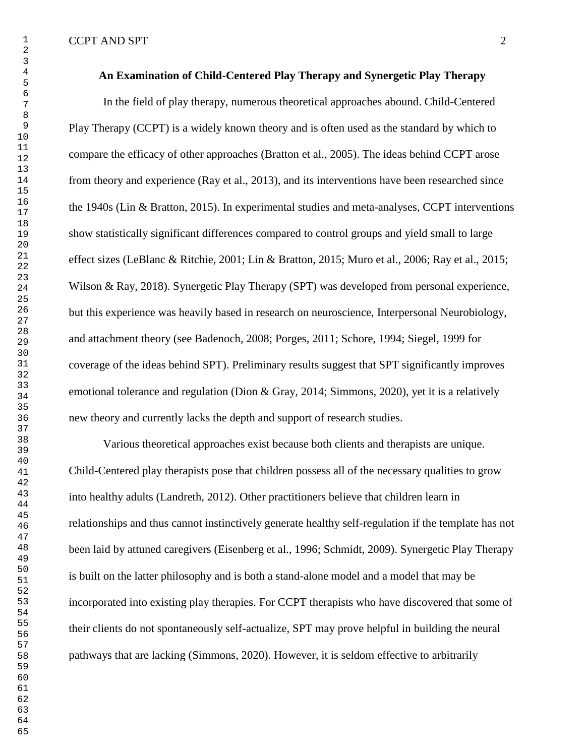# **An Examination of Child-Centered Play Therapy and Synergetic Play Therapy**

In the field of play therapy, numerous theoretical approaches abound. Child-Centered Play Therapy (CCPT) is a widely known theory and is often used as the standard by which to compare the efficacy of other approaches (Bratton et al., 2005). The ideas behind CCPT arose from theory and experience (Ray et al., 2013), and its interventions have been researched since the 1940s (Lin & Bratton, 2015). In experimental studies and meta-analyses, CCPT interventions show statistically significant differences compared to control groups and yield small to large effect sizes (LeBlanc & Ritchie, 2001; Lin & Bratton, 2015; Muro et al., 2006; Ray et al., 2015; Wilson & Ray, 2018). Synergetic Play Therapy (SPT) was developed from personal experience, but this experience was heavily based in research on neuroscience, Interpersonal Neurobiology, and attachment theory (see Badenoch, 2008; Porges, 2011; Schore, 1994; Siegel, 1999 for coverage of the ideas behind SPT). Preliminary results suggest that SPT significantly improves emotional tolerance and regulation (Dion & Gray, 2014; Simmons, 2020), yet it is a relatively new theory and currently lacks the depth and support of research studies.

Various theoretical approaches exist because both clients and therapists are unique. Child-Centered play therapists pose that children possess all of the necessary qualities to grow into healthy adults (Landreth, 2012). Other practitioners believe that children learn in relationships and thus cannot instinctively generate healthy self-regulation if the template has not been laid by attuned caregivers (Eisenberg et al., 1996; Schmidt, 2009). Synergetic Play Therapy is built on the latter philosophy and is both a stand-alone model and a model that may be incorporated into existing play therapies. For CCPT therapists who have discovered that some of their clients do not spontaneously self-actualize, SPT may prove helpful in building the neural pathways that are lacking (Simmons, 2020). However, it is seldom effective to arbitrarily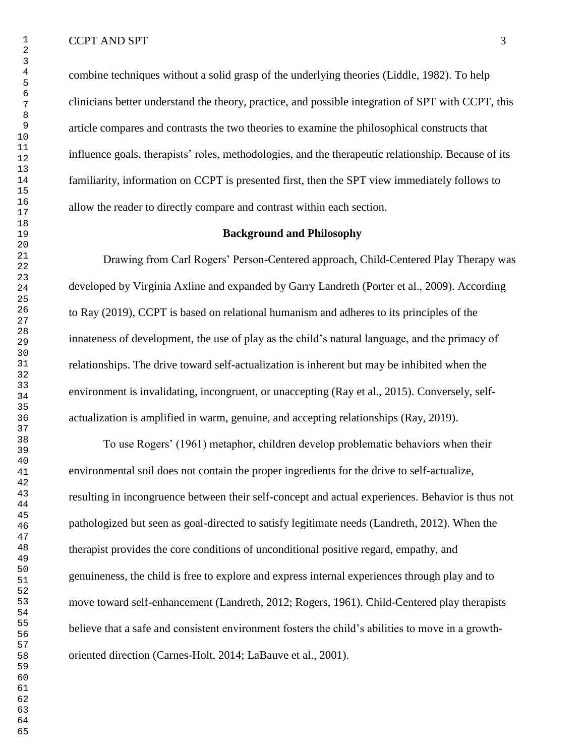combine techniques without a solid grasp of the underlying theories (Liddle, 1982). To help clinicians better understand the theory, practice, and possible integration of SPT with CCPT, this article compares and contrasts the two theories to examine the philosophical constructs that influence goals, therapists' roles, methodologies, and the therapeutic relationship. Because of its familiarity, information on CCPT is presented first, then the SPT view immediately follows to allow the reader to directly compare and contrast within each section.

# **Background and Philosophy**

Drawing from Carl Rogers' Person-Centered approach, Child-Centered Play Therapy was developed by Virginia Axline and expanded by Garry Landreth (Porter et al., 2009). According to Ray (2019), CCPT is based on relational humanism and adheres to its principles of the innateness of development, the use of play as the child's natural language, and the primacy of relationships. The drive toward self-actualization is inherent but may be inhibited when the environment is invalidating, incongruent, or unaccepting (Ray et al., 2015). Conversely, selfactualization is amplified in warm, genuine, and accepting relationships (Ray, 2019).

To use Rogers' (1961) metaphor, children develop problematic behaviors when their environmental soil does not contain the proper ingredients for the drive to self-actualize, resulting in incongruence between their self-concept and actual experiences. Behavior is thus not pathologized but seen as goal-directed to satisfy legitimate needs (Landreth, 2012). When the therapist provides the core conditions of unconditional positive regard, empathy, and genuineness, the child is free to explore and express internal experiences through play and to move toward self-enhancement (Landreth, 2012; Rogers, 1961). Child-Centered play therapists believe that a safe and consistent environment fosters the child's abilities to move in a growthoriented direction (Carnes-Holt, 2014; LaBauve et al., 2001).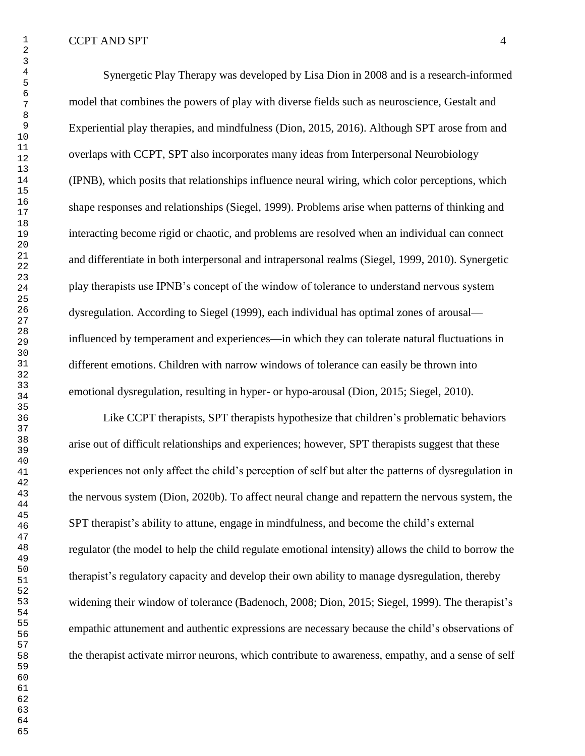Synergetic Play Therapy was developed by Lisa Dion in 2008 and is a research-informed model that combines the powers of play with diverse fields such as neuroscience, Gestalt and Experiential play therapies, and mindfulness (Dion, 2015, 2016). Although SPT arose from and overlaps with CCPT, SPT also incorporates many ideas from Interpersonal Neurobiology (IPNB), which posits that relationships influence neural wiring, which color perceptions, which shape responses and relationships (Siegel, 1999). Problems arise when patterns of thinking and interacting become rigid or chaotic, and problems are resolved when an individual can connect and differentiate in both interpersonal and intrapersonal realms (Siegel, 1999, 2010). Synergetic play therapists use IPNB's concept of the window of tolerance to understand nervous system dysregulation. According to Siegel (1999), each individual has optimal zones of arousal influenced by temperament and experiences—in which they can tolerate natural fluctuations in different emotions. Children with narrow windows of tolerance can easily be thrown into emotional dysregulation, resulting in hyper- or hypo-arousal (Dion, 2015; Siegel, 2010).

Like CCPT therapists, SPT therapists hypothesize that children's problematic behaviors arise out of difficult relationships and experiences; however, SPT therapists suggest that these experiences not only affect the child's perception of self but alter the patterns of dysregulation in the nervous system (Dion, 2020b). To affect neural change and repattern the nervous system, the SPT therapist's ability to attune, engage in mindfulness, and become the child's external regulator (the model to help the child regulate emotional intensity) allows the child to borrow the therapist's regulatory capacity and develop their own ability to manage dysregulation, thereby widening their window of tolerance (Badenoch, 2008; Dion, 2015; Siegel, 1999). The therapist's empathic attunement and authentic expressions are necessary because the child's observations of the therapist activate mirror neurons, which contribute to awareness, empathy, and a sense of self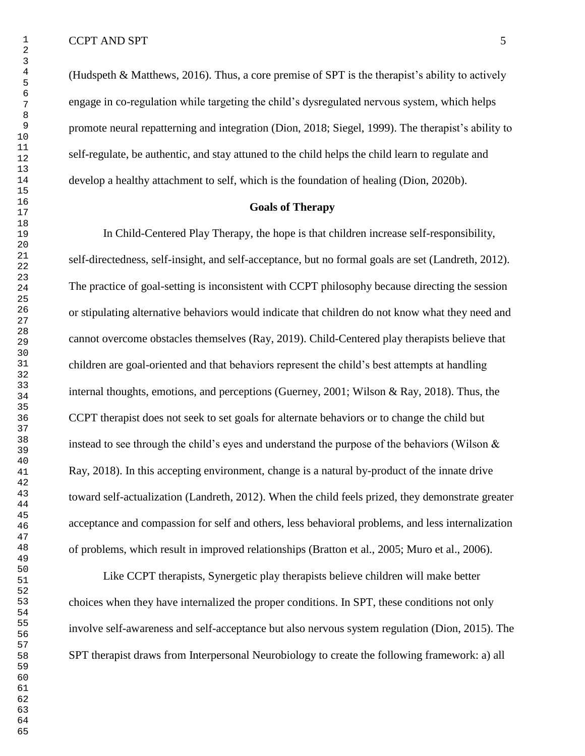(Hudspeth & Matthews, 2016). Thus, a core premise of SPT is the therapist's ability to actively engage in co-regulation while targeting the child's dysregulated nervous system, which helps promote neural repatterning and integration (Dion, 2018; Siegel, 1999). The therapist's ability to self-regulate, be authentic, and stay attuned to the child helps the child learn to regulate and develop a healthy attachment to self, which is the foundation of healing (Dion, 2020b).

# **Goals of Therapy**

In Child-Centered Play Therapy, the hope is that children increase self-responsibility, self-directedness, self-insight, and self-acceptance, but no formal goals are set (Landreth, 2012). The practice of goal-setting is inconsistent with CCPT philosophy because directing the session or stipulating alternative behaviors would indicate that children do not know what they need and cannot overcome obstacles themselves (Ray, 2019). Child-Centered play therapists believe that children are goal-oriented and that behaviors represent the child's best attempts at handling internal thoughts, emotions, and perceptions (Guerney, 2001; Wilson & Ray, 2018). Thus, the CCPT therapist does not seek to set goals for alternate behaviors or to change the child but instead to see through the child's eyes and understand the purpose of the behaviors (Wilson & Ray, 2018). In this accepting environment, change is a natural by-product of the innate drive toward self-actualization (Landreth, 2012). When the child feels prized, they demonstrate greater acceptance and compassion for self and others, less behavioral problems, and less internalization of problems, which result in improved relationships (Bratton et al., 2005; Muro et al., 2006).

Like CCPT therapists, Synergetic play therapists believe children will make better choices when they have internalized the proper conditions. In SPT, these conditions not only involve self-awareness and self-acceptance but also nervous system regulation (Dion, 2015). The SPT therapist draws from Interpersonal Neurobiology to create the following framework: a) all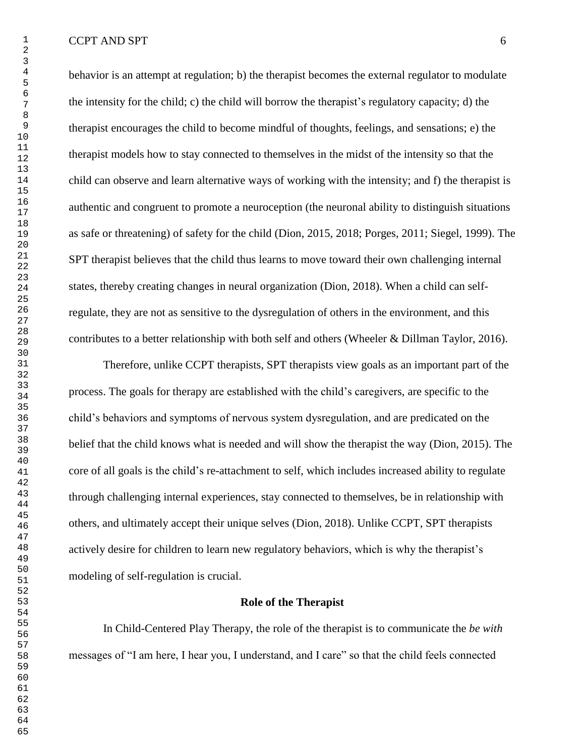behavior is an attempt at regulation; b) the therapist becomes the external regulator to modulate the intensity for the child; c) the child will borrow the therapist's regulatory capacity; d) the therapist encourages the child to become mindful of thoughts, feelings, and sensations; e) the therapist models how to stay connected to themselves in the midst of the intensity so that the child can observe and learn alternative ways of working with the intensity; and f) the therapist is authentic and congruent to promote a neuroception (the neuronal ability to distinguish situations as safe or threatening) of safety for the child (Dion, 2015, 2018; Porges, 2011; Siegel, 1999). The SPT therapist believes that the child thus learns to move toward their own challenging internal states, thereby creating changes in neural organization (Dion, 2018). When a child can selfregulate, they are not as sensitive to the dysregulation of others in the environment, and this contributes to a better relationship with both self and others (Wheeler & Dillman Taylor, 2016).

Therefore, unlike CCPT therapists, SPT therapists view goals as an important part of the process. The goals for therapy are established with the child's caregivers, are specific to the child's behaviors and symptoms of nervous system dysregulation, and are predicated on the belief that the child knows what is needed and will show the therapist the way (Dion, 2015). The core of all goals is the child's re-attachment to self, which includes increased ability to regulate through challenging internal experiences, stay connected to themselves, be in relationship with others, and ultimately accept their unique selves (Dion, 2018). Unlike CCPT, SPT therapists actively desire for children to learn new regulatory behaviors, which is why the therapist's modeling of self-regulation is crucial.

## **Role of the Therapist**

In Child-Centered Play Therapy, the role of the therapist is to communicate the *be with* messages of "I am here, I hear you, I understand, and I care" so that the child feels connected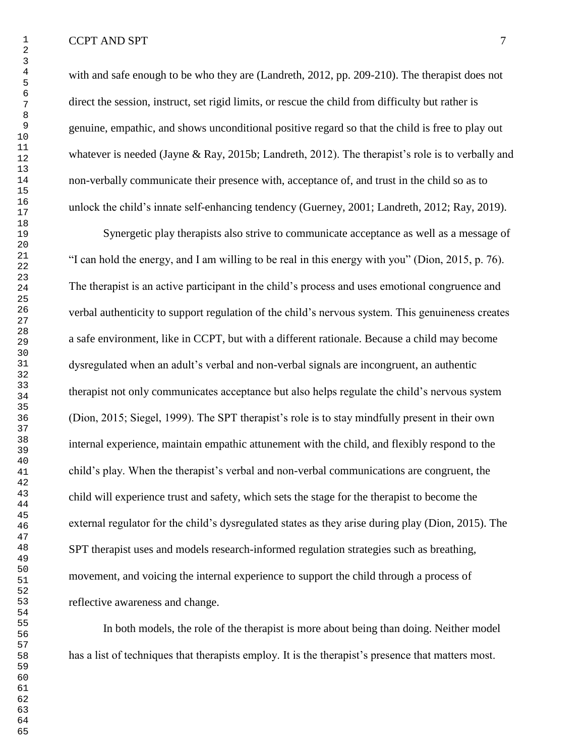with and safe enough to be who they are (Landreth, 2012, pp. 209-210). The therapist does not direct the session, instruct, set rigid limits, or rescue the child from difficulty but rather is genuine, empathic, and shows unconditional positive regard so that the child is free to play out whatever is needed (Jayne & Ray, 2015b; Landreth, 2012). The therapist's role is to verbally and non-verbally communicate their presence with, acceptance of, and trust in the child so as to unlock the child's innate self-enhancing tendency (Guerney, 2001; Landreth, 2012; Ray, 2019).

Synergetic play therapists also strive to communicate acceptance as well as a message of "I can hold the energy, and I am willing to be real in this energy with you" (Dion, 2015, p. 76). The therapist is an active participant in the child's process and uses emotional congruence and verbal authenticity to support regulation of the child's nervous system. This genuineness creates a safe environment, like in CCPT, but with a different rationale. Because a child may become dysregulated when an adult's verbal and non-verbal signals are incongruent, an authentic therapist not only communicates acceptance but also helps regulate the child's nervous system (Dion, 2015; Siegel, 1999). The SPT therapist's role is to stay mindfully present in their own internal experience, maintain empathic attunement with the child, and flexibly respond to the child's play. When the therapist's verbal and non-verbal communications are congruent, the child will experience trust and safety, which sets the stage for the therapist to become the external regulator for the child's dysregulated states as they arise during play (Dion, 2015). The SPT therapist uses and models research-informed regulation strategies such as breathing, movement, and voicing the internal experience to support the child through a process of reflective awareness and change.

In both models, the role of the therapist is more about being than doing. Neither model has a list of techniques that therapists employ. It is the therapist's presence that matters most.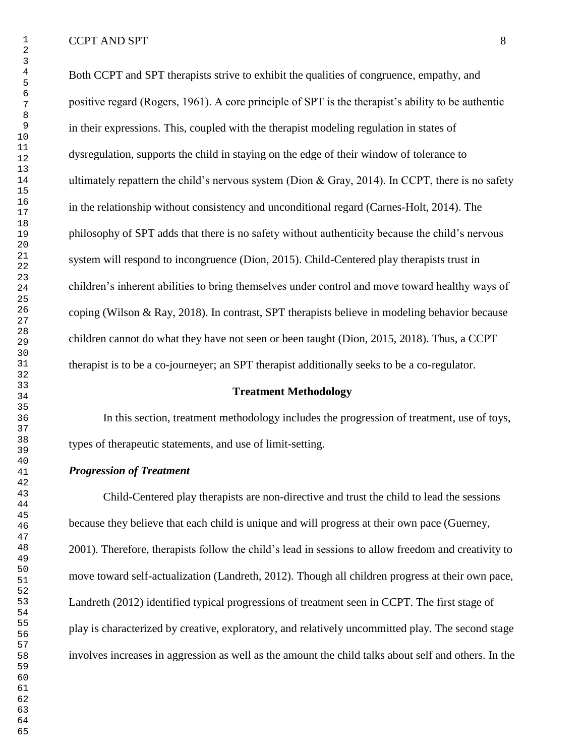Both CCPT and SPT therapists strive to exhibit the qualities of congruence, empathy, and positive regard (Rogers, 1961). A core principle of SPT is the therapist's ability to be authentic in their expressions. This, coupled with the therapist modeling regulation in states of dysregulation, supports the child in staying on the edge of their window of tolerance to ultimately repattern the child's nervous system (Dion  $\&$  Gray, 2014). In CCPT, there is no safety in the relationship without consistency and unconditional regard (Carnes-Holt, 2014). The philosophy of SPT adds that there is no safety without authenticity because the child's nervous system will respond to incongruence (Dion, 2015). Child-Centered play therapists trust in children's inherent abilities to bring themselves under control and move toward healthy ways of coping (Wilson & Ray, 2018). In contrast, SPT therapists believe in modeling behavior because children cannot do what they have not seen or been taught (Dion, 2015, 2018). Thus, a CCPT therapist is to be a co-journeyer; an SPT therapist additionally seeks to be a co-regulator.

### **Treatment Methodology**

In this section, treatment methodology includes the progression of treatment, use of toys, types of therapeutic statements, and use of limit-setting.

# *Progression of Treatment*

Child-Centered play therapists are non-directive and trust the child to lead the sessions because they believe that each child is unique and will progress at their own pace (Guerney, 2001). Therefore, therapists follow the child's lead in sessions to allow freedom and creativity to move toward self-actualization (Landreth, 2012). Though all children progress at their own pace, Landreth (2012) identified typical progressions of treatment seen in CCPT. The first stage of play is characterized by creative, exploratory, and relatively uncommitted play. The second stage involves increases in aggression as well as the amount the child talks about self and others. In the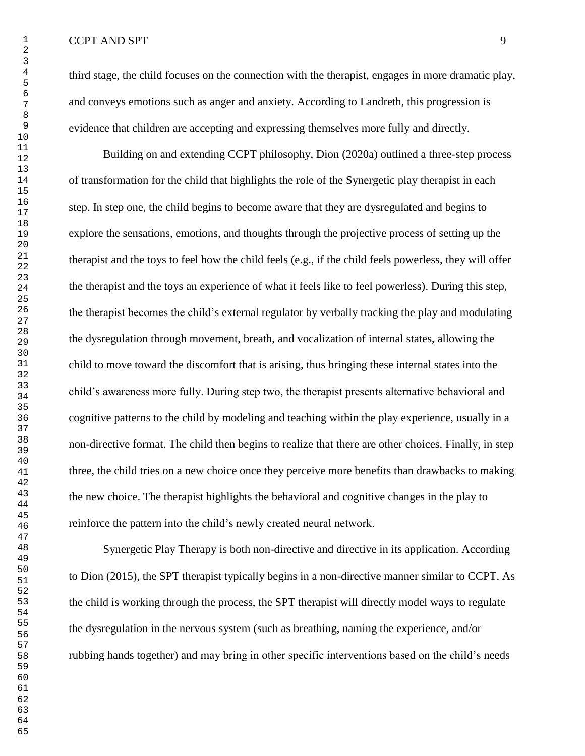third stage, the child focuses on the connection with the therapist, engages in more dramatic play, and conveys emotions such as anger and anxiety. According to Landreth, this progression is evidence that children are accepting and expressing themselves more fully and directly.

Building on and extending CCPT philosophy, Dion (2020a) outlined a three-step process of transformation for the child that highlights the role of the Synergetic play therapist in each step. In step one, the child begins to become aware that they are dysregulated and begins to explore the sensations, emotions, and thoughts through the projective process of setting up the therapist and the toys to feel how the child feels (e.g., if the child feels powerless, they will offer the therapist and the toys an experience of what it feels like to feel powerless). During this step, the therapist becomes the child's external regulator by verbally tracking the play and modulating the dysregulation through movement, breath, and vocalization of internal states, allowing the child to move toward the discomfort that is arising, thus bringing these internal states into the child's awareness more fully. During step two, the therapist presents alternative behavioral and cognitive patterns to the child by modeling and teaching within the play experience, usually in a non-directive format. The child then begins to realize that there are other choices. Finally, in step three, the child tries on a new choice once they perceive more benefits than drawbacks to making the new choice. The therapist highlights the behavioral and cognitive changes in the play to reinforce the pattern into the child's newly created neural network.

Synergetic Play Therapy is both non-directive and directive in its application. According to Dion (2015), the SPT therapist typically begins in a non-directive manner similar to CCPT. As the child is working through the process, the SPT therapist will directly model ways to regulate the dysregulation in the nervous system (such as breathing, naming the experience, and/or rubbing hands together) and may bring in other specific interventions based on the child's needs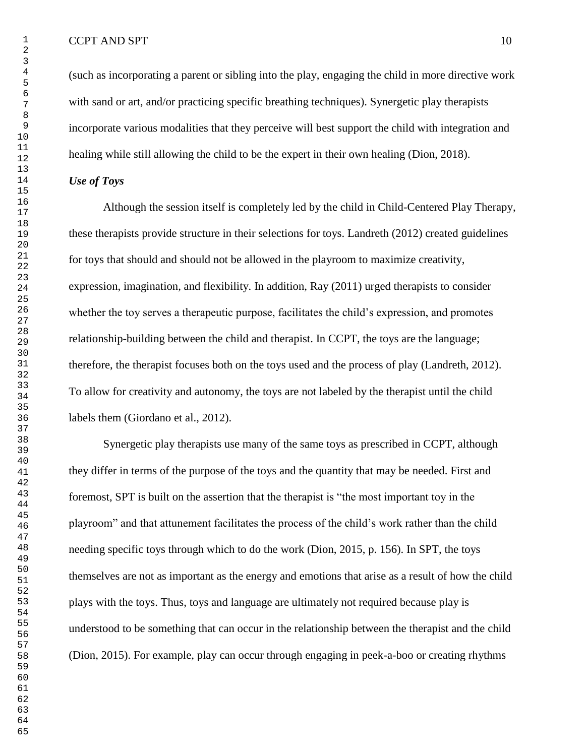(such as incorporating a parent or sibling into the play, engaging the child in more directive work with sand or art, and/or practicing specific breathing techniques). Synergetic play therapists incorporate various modalities that they perceive will best support the child with integration and healing while still allowing the child to be the expert in their own healing (Dion, 2018).

# *Use of Toys*

Although the session itself is completely led by the child in Child-Centered Play Therapy, these therapists provide structure in their selections for toys. Landreth (2012) created guidelines for toys that should and should not be allowed in the playroom to maximize creativity, expression, imagination, and flexibility. In addition, Ray (2011) urged therapists to consider whether the toy serves a therapeutic purpose, facilitates the child's expression, and promotes relationship-building between the child and therapist. In CCPT, the toys are the language; therefore, the therapist focuses both on the toys used and the process of play (Landreth, 2012). To allow for creativity and autonomy, the toys are not labeled by the therapist until the child labels them (Giordano et al., 2012).

Synergetic play therapists use many of the same toys as prescribed in CCPT, although they differ in terms of the purpose of the toys and the quantity that may be needed. First and foremost, SPT is built on the assertion that the therapist is "the most important toy in the playroom" and that attunement facilitates the process of the child's work rather than the child needing specific toys through which to do the work (Dion, 2015, p. 156). In SPT, the toys themselves are not as important as the energy and emotions that arise as a result of how the child plays with the toys. Thus, toys and language are ultimately not required because play is understood to be something that can occur in the relationship between the therapist and the child (Dion, 2015). For example, play can occur through engaging in peek-a-boo or creating rhythms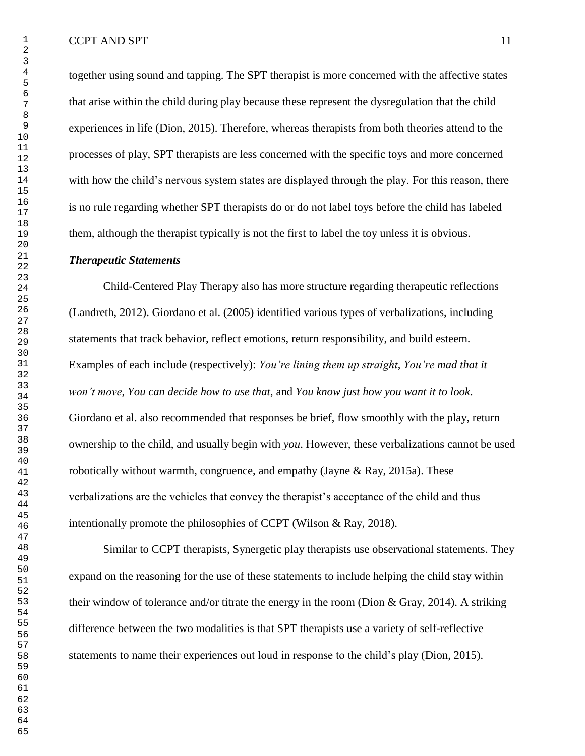together using sound and tapping. The SPT therapist is more concerned with the affective states that arise within the child during play because these represent the dysregulation that the child experiences in life (Dion, 2015). Therefore, whereas therapists from both theories attend to the processes of play, SPT therapists are less concerned with the specific toys and more concerned with how the child's nervous system states are displayed through the play. For this reason, there is no rule regarding whether SPT therapists do or do not label toys before the child has labeled them, although the therapist typically is not the first to label the toy unless it is obvious.

# *Therapeutic Statements*

Child-Centered Play Therapy also has more structure regarding therapeutic reflections (Landreth, 2012). Giordano et al. (2005) identified various types of verbalizations, including statements that track behavior, reflect emotions, return responsibility, and build esteem. Examples of each include (respectively): *You're lining them up straight*, *You're mad that it won't move*, *You can decide how to use that*, and *You know just how you want it to look*. Giordano et al. also recommended that responses be brief, flow smoothly with the play, return ownership to the child, and usually begin with *you*. However, these verbalizations cannot be used robotically without warmth, congruence, and empathy (Jayne & Ray, 2015a). These verbalizations are the vehicles that convey the therapist's acceptance of the child and thus intentionally promote the philosophies of CCPT (Wilson & Ray, 2018).

Similar to CCPT therapists, Synergetic play therapists use observational statements. They expand on the reasoning for the use of these statements to include helping the child stay within their window of tolerance and/or titrate the energy in the room (Dion & Gray, 2014). A striking difference between the two modalities is that SPT therapists use a variety of self-reflective statements to name their experiences out loud in response to the child's play (Dion, 2015).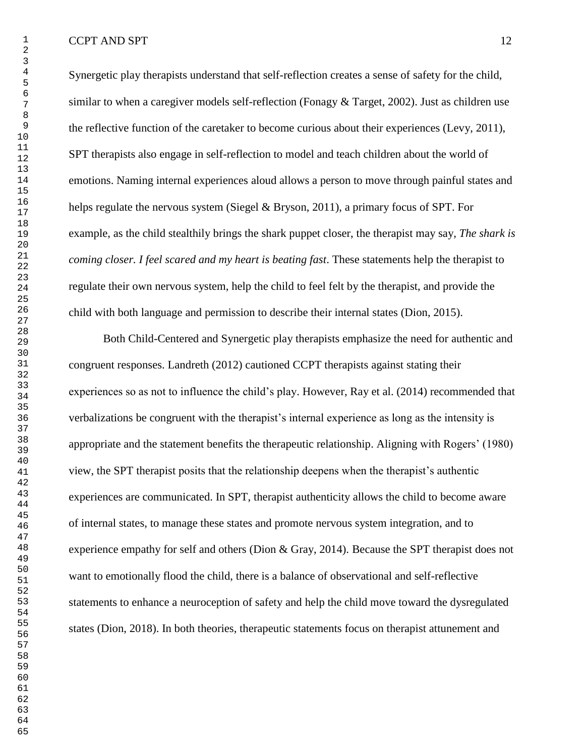Synergetic play therapists understand that self-reflection creates a sense of safety for the child, similar to when a caregiver models self-reflection (Fonagy & Target, 2002). Just as children use the reflective function of the caretaker to become curious about their experiences (Levy, 2011), SPT therapists also engage in self-reflection to model and teach children about the world of emotions. Naming internal experiences aloud allows a person to move through painful states and helps regulate the nervous system (Siegel & Bryson, 2011), a primary focus of SPT. For example, as the child stealthily brings the shark puppet closer, the therapist may say, *The shark is coming closer. I feel scared and my heart is beating fast*. These statements help the therapist to regulate their own nervous system, help the child to feel felt by the therapist, and provide the child with both language and permission to describe their internal states (Dion, 2015).

Both Child-Centered and Synergetic play therapists emphasize the need for authentic and congruent responses. Landreth (2012) cautioned CCPT therapists against stating their experiences so as not to influence the child's play. However, Ray et al. (2014) recommended that verbalizations be congruent with the therapist's internal experience as long as the intensity is appropriate and the statement benefits the therapeutic relationship. Aligning with Rogers' (1980) view, the SPT therapist posits that the relationship deepens when the therapist's authentic experiences are communicated. In SPT, therapist authenticity allows the child to become aware of internal states, to manage these states and promote nervous system integration, and to experience empathy for self and others (Dion & Gray, 2014). Because the SPT therapist does not want to emotionally flood the child, there is a balance of observational and self-reflective statements to enhance a neuroception of safety and help the child move toward the dysregulated states (Dion, 2018). In both theories, therapeutic statements focus on therapist attunement and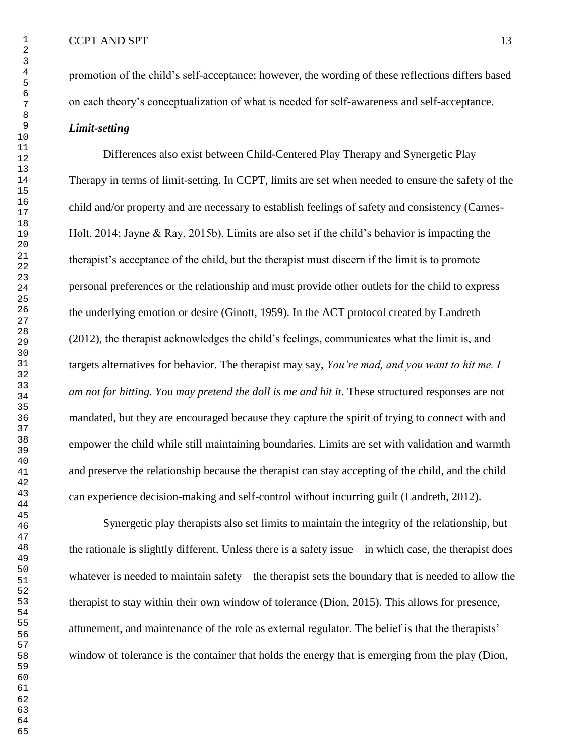promotion of the child's self-acceptance; however, the wording of these reflections differs based on each theory's conceptualization of what is needed for self-awareness and self-acceptance. *Limit-setting*

Differences also exist between Child-Centered Play Therapy and Synergetic Play Therapy in terms of limit-setting. In CCPT, limits are set when needed to ensure the safety of the child and/or property and are necessary to establish feelings of safety and consistency (Carnes-Holt, 2014; Jayne & Ray, 2015b). Limits are also set if the child's behavior is impacting the therapist's acceptance of the child, but the therapist must discern if the limit is to promote personal preferences or the relationship and must provide other outlets for the child to express the underlying emotion or desire (Ginott, 1959). In the ACT protocol created by Landreth (2012), the therapist acknowledges the child's feelings, communicates what the limit is, and targets alternatives for behavior. The therapist may say, *You're mad, and you want to hit me. I am not for hitting. You may pretend the doll is me and hit it.* These structured responses are not mandated, but they are encouraged because they capture the spirit of trying to connect with and empower the child while still maintaining boundaries. Limits are set with validation and warmth and preserve the relationship because the therapist can stay accepting of the child, and the child can experience decision-making and self-control without incurring guilt (Landreth, 2012).

Synergetic play therapists also set limits to maintain the integrity of the relationship, but the rationale is slightly different. Unless there is a safety issue—in which case, the therapist does whatever is needed to maintain safety—the therapist sets the boundary that is needed to allow the therapist to stay within their own window of tolerance (Dion, 2015). This allows for presence, attunement, and maintenance of the role as external regulator. The belief is that the therapists' window of tolerance is the container that holds the energy that is emerging from the play (Dion,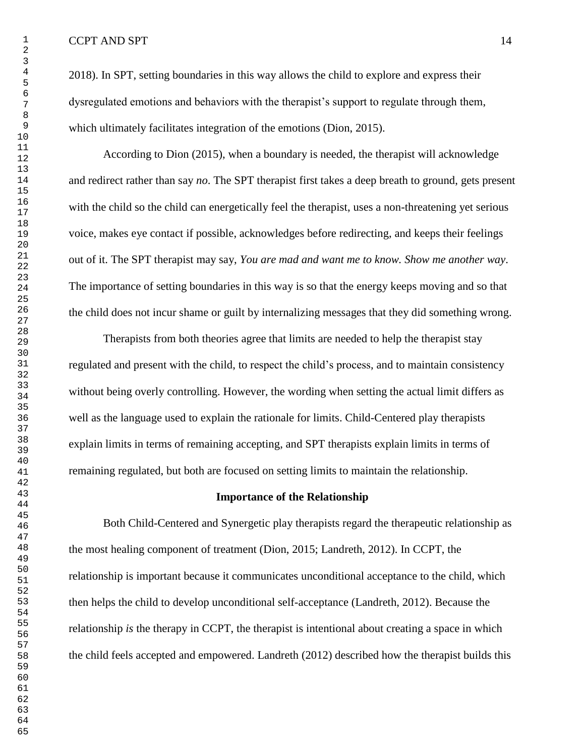2018). In SPT, setting boundaries in this way allows the child to explore and express their dysregulated emotions and behaviors with the therapist's support to regulate through them, which ultimately facilitates integration of the emotions (Dion, 2015).

According to Dion (2015), when a boundary is needed, the therapist will acknowledge and redirect rather than say *no*. The SPT therapist first takes a deep breath to ground, gets present with the child so the child can energetically feel the therapist, uses a non-threatening yet serious voice, makes eye contact if possible, acknowledges before redirecting, and keeps their feelings out of it. The SPT therapist may say, *You are mad and want me to know. Show me another way*. The importance of setting boundaries in this way is so that the energy keeps moving and so that the child does not incur shame or guilt by internalizing messages that they did something wrong.

Therapists from both theories agree that limits are needed to help the therapist stay regulated and present with the child, to respect the child's process, and to maintain consistency without being overly controlling. However, the wording when setting the actual limit differs as well as the language used to explain the rationale for limits. Child-Centered play therapists explain limits in terms of remaining accepting, and SPT therapists explain limits in terms of remaining regulated, but both are focused on setting limits to maintain the relationship.

#### **Importance of the Relationship**

Both Child-Centered and Synergetic play therapists regard the therapeutic relationship as the most healing component of treatment (Dion, 2015; Landreth, 2012). In CCPT, the relationship is important because it communicates unconditional acceptance to the child, which then helps the child to develop unconditional self-acceptance (Landreth, 2012). Because the relationship *is* the therapy in CCPT, the therapist is intentional about creating a space in which the child feels accepted and empowered. Landreth (2012) described how the therapist builds this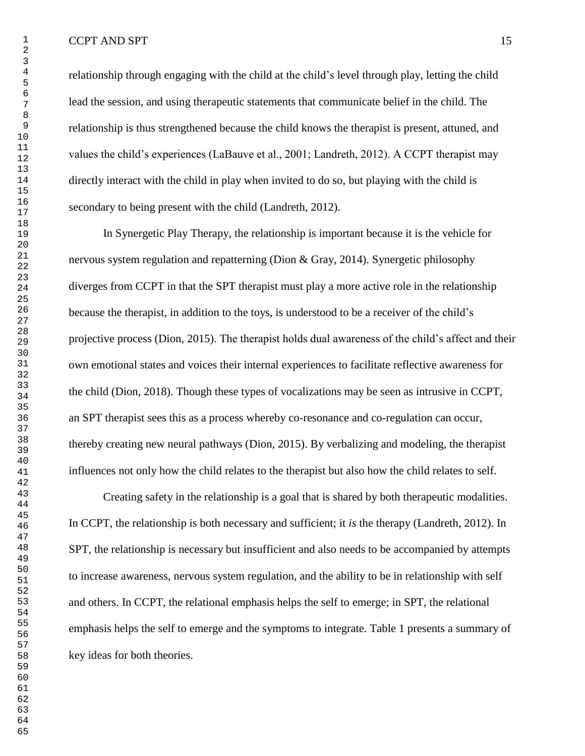relationship through engaging with the child at the child's level through play, letting the child lead the session, and using therapeutic statements that communicate belief in the child. The relationship is thus strengthened because the child knows the therapist is present, attuned, and values the child's experiences (LaBauve et al., 2001; Landreth, 2012). A CCPT therapist may directly interact with the child in play when invited to do so, but playing with the child is secondary to being present with the child (Landreth, 2012).

In Synergetic Play Therapy, the relationship is important because it is the vehicle for nervous system regulation and repatterning (Dion & Gray, 2014). Synergetic philosophy diverges from CCPT in that the SPT therapist must play a more active role in the relationship because the therapist, in addition to the toys, is understood to be a receiver of the child's projective process (Dion, 2015). The therapist holds dual awareness of the child's affect and their own emotional states and voices their internal experiences to facilitate reflective awareness for the child (Dion, 2018). Though these types of vocalizations may be seen as intrusive in CCPT, an SPT therapist sees this as a process whereby co-resonance and co-regulation can occur, thereby creating new neural pathways (Dion, 2015). By verbalizing and modeling, the therapist influences not only how the child relates to the therapist but also how the child relates to self.

Creating safety in the relationship is a goal that is shared by both therapeutic modalities. In CCPT, the relationship is both necessary and sufficient; it *is* the therapy (Landreth, 2012). In SPT, the relationship is necessary but insufficient and also needs to be accompanied by attempts to increase awareness, nervous system regulation, and the ability to be in relationship with self and others. In CCPT, the relational emphasis helps the self to emerge; in SPT, the relational emphasis helps the self to emerge and the symptoms to integrate. Table 1 presents a summary of key ideas for both theories.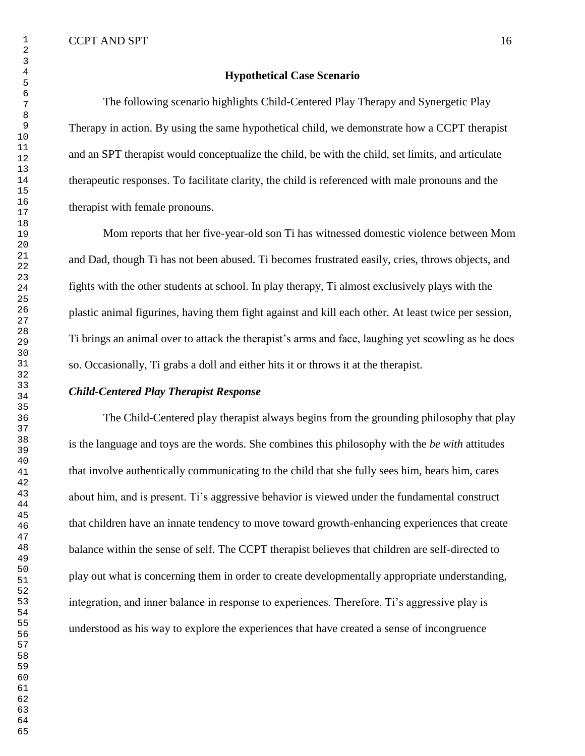### **Hypothetical Case Scenario**

The following scenario highlights Child-Centered Play Therapy and Synergetic Play Therapy in action. By using the same hypothetical child, we demonstrate how a CCPT therapist and an SPT therapist would conceptualize the child, be with the child, set limits, and articulate therapeutic responses. To facilitate clarity, the child is referenced with male pronouns and the therapist with female pronouns.

Mom reports that her five-year-old son Ti has witnessed domestic violence between Mom and Dad, though Ti has not been abused. Ti becomes frustrated easily, cries, throws objects, and fights with the other students at school. In play therapy, Ti almost exclusively plays with the plastic animal figurines, having them fight against and kill each other. At least twice per session, Ti brings an animal over to attack the therapist's arms and face, laughing yet scowling as he does so. Occasionally, Ti grabs a doll and either hits it or throws it at the therapist.

## *Child-Centered Play Therapist Response*

The Child-Centered play therapist always begins from the grounding philosophy that play is the language and toys are the words. She combines this philosophy with the *be with* attitudes that involve authentically communicating to the child that she fully sees him, hears him, cares about him, and is present. Ti's aggressive behavior is viewed under the fundamental construct that children have an innate tendency to move toward growth-enhancing experiences that create balance within the sense of self. The CCPT therapist believes that children are self-directed to play out what is concerning them in order to create developmentally appropriate understanding, integration, and inner balance in response to experiences. Therefore, Ti's aggressive play is understood as his way to explore the experiences that have created a sense of incongruence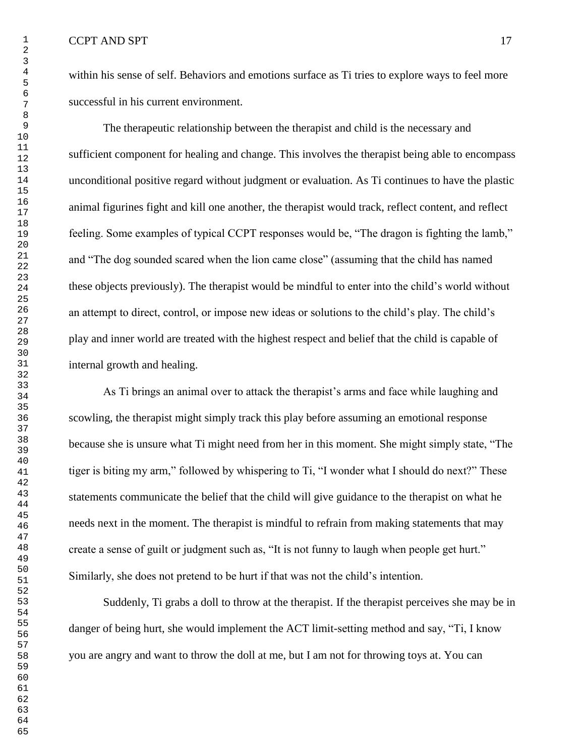within his sense of self. Behaviors and emotions surface as Ti tries to explore ways to feel more successful in his current environment.

The therapeutic relationship between the therapist and child is the necessary and sufficient component for healing and change. This involves the therapist being able to encompass unconditional positive regard without judgment or evaluation. As Ti continues to have the plastic animal figurines fight and kill one another, the therapist would track, reflect content, and reflect feeling. Some examples of typical CCPT responses would be, "The dragon is fighting the lamb," and "The dog sounded scared when the lion came close" (assuming that the child has named these objects previously). The therapist would be mindful to enter into the child's world without an attempt to direct, control, or impose new ideas or solutions to the child's play. The child's play and inner world are treated with the highest respect and belief that the child is capable of internal growth and healing.

As Ti brings an animal over to attack the therapist's arms and face while laughing and scowling, the therapist might simply track this play before assuming an emotional response because she is unsure what Ti might need from her in this moment. She might simply state, "The tiger is biting my arm," followed by whispering to Ti, "I wonder what I should do next?" These statements communicate the belief that the child will give guidance to the therapist on what he needs next in the moment. The therapist is mindful to refrain from making statements that may create a sense of guilt or judgment such as, "It is not funny to laugh when people get hurt." Similarly, she does not pretend to be hurt if that was not the child's intention.

Suddenly, Ti grabs a doll to throw at the therapist. If the therapist perceives she may be in danger of being hurt, she would implement the ACT limit-setting method and say, "Ti, I know you are angry and want to throw the doll at me, but I am not for throwing toys at. You can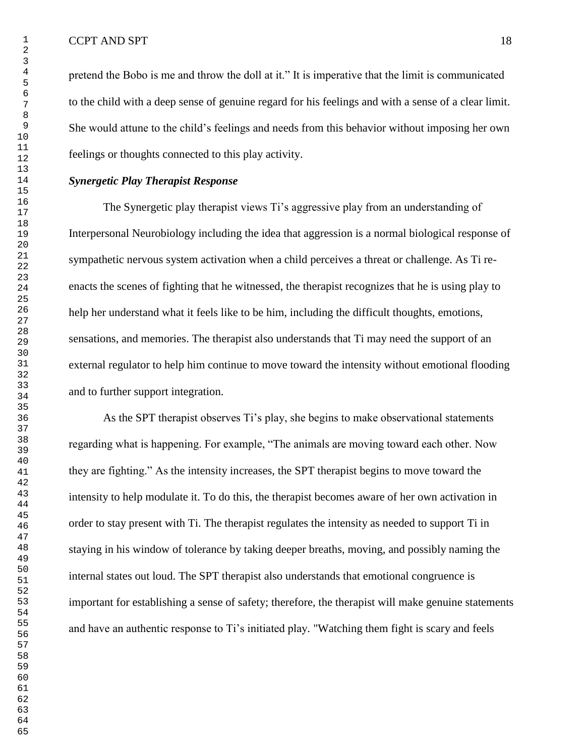pretend the Bobo is me and throw the doll at it." It is imperative that the limit is communicated to the child with a deep sense of genuine regard for his feelings and with a sense of a clear limit. She would attune to the child's feelings and needs from this behavior without imposing her own feelings or thoughts connected to this play activity.

# *Synergetic Play Therapist Response*

The Synergetic play therapist views Ti's aggressive play from an understanding of Interpersonal Neurobiology including the idea that aggression is a normal biological response of sympathetic nervous system activation when a child perceives a threat or challenge. As Ti reenacts the scenes of fighting that he witnessed, the therapist recognizes that he is using play to help her understand what it feels like to be him, including the difficult thoughts, emotions, sensations, and memories. The therapist also understands that Ti may need the support of an external regulator to help him continue to move toward the intensity without emotional flooding and to further support integration.

As the SPT therapist observes Ti's play, she begins to make observational statements regarding what is happening. For example, "The animals are moving toward each other. Now they are fighting." As the intensity increases, the SPT therapist begins to move toward the intensity to help modulate it. To do this, the therapist becomes aware of her own activation in order to stay present with Ti. The therapist regulates the intensity as needed to support Ti in staying in his window of tolerance by taking deeper breaths, moving, and possibly naming the internal states out loud. The SPT therapist also understands that emotional congruence is important for establishing a sense of safety; therefore, the therapist will make genuine statements and have an authentic response to Ti's initiated play. "Watching them fight is scary and feels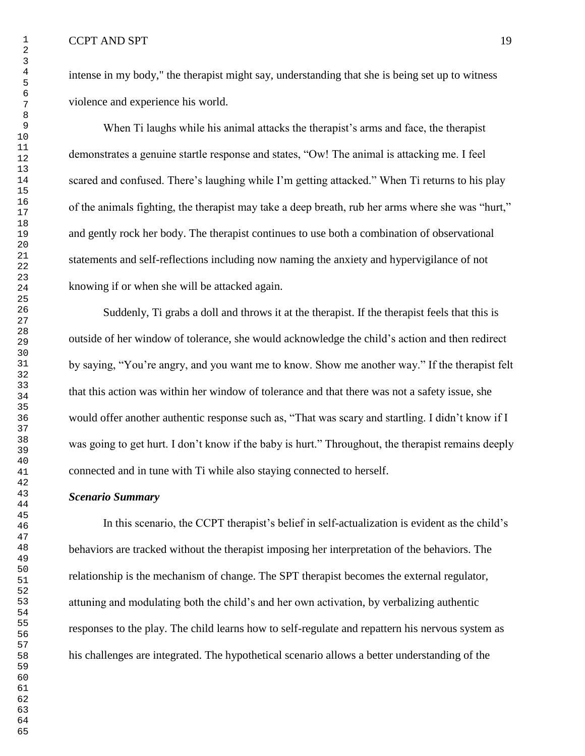intense in my body," the therapist might say, understanding that she is being set up to witness violence and experience his world.

When Ti laughs while his animal attacks the therapist's arms and face, the therapist demonstrates a genuine startle response and states, "Ow! The animal is attacking me. I feel scared and confused. There's laughing while I'm getting attacked." When Ti returns to his play of the animals fighting, the therapist may take a deep breath, rub her arms where she was "hurt," and gently rock her body. The therapist continues to use both a combination of observational statements and self-reflections including now naming the anxiety and hypervigilance of not knowing if or when she will be attacked again.

Suddenly, Ti grabs a doll and throws it at the therapist. If the therapist feels that this is outside of her window of tolerance, she would acknowledge the child's action and then redirect by saying, "You're angry, and you want me to know. Show me another way." If the therapist felt that this action was within her window of tolerance and that there was not a safety issue, she would offer another authentic response such as, "That was scary and startling. I didn't know if I was going to get hurt. I don't know if the baby is hurt." Throughout, the therapist remains deeply connected and in tune with Ti while also staying connected to herself.

## *Scenario Summary*

In this scenario, the CCPT therapist's belief in self-actualization is evident as the child's behaviors are tracked without the therapist imposing her interpretation of the behaviors. The relationship is the mechanism of change. The SPT therapist becomes the external regulator, attuning and modulating both the child's and her own activation, by verbalizing authentic responses to the play. The child learns how to self-regulate and repattern his nervous system as his challenges are integrated. The hypothetical scenario allows a better understanding of the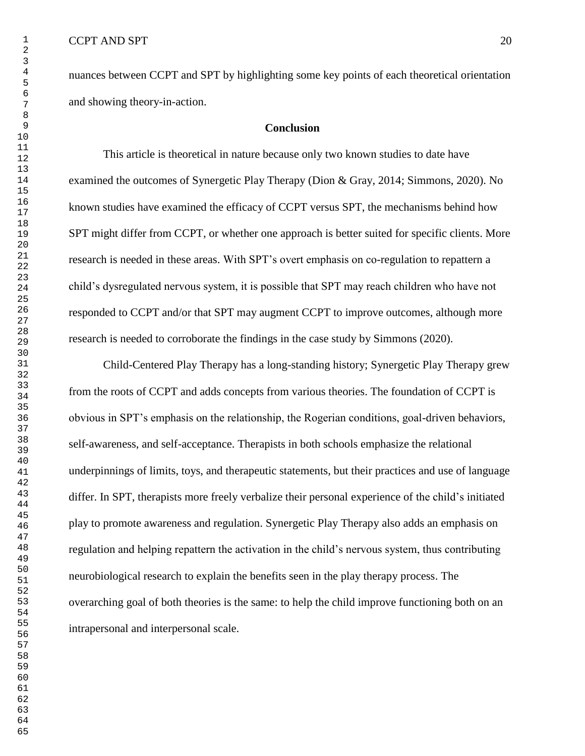nuances between CCPT and SPT by highlighting some key points of each theoretical orientation and showing theory-in-action.

# **Conclusion**

This article is theoretical in nature because only two known studies to date have examined the outcomes of Synergetic Play Therapy (Dion & Gray, 2014; Simmons, 2020). No known studies have examined the efficacy of CCPT versus SPT, the mechanisms behind how SPT might differ from CCPT, or whether one approach is better suited for specific clients. More research is needed in these areas. With SPT's overt emphasis on co-regulation to repattern a child's dysregulated nervous system, it is possible that SPT may reach children who have not responded to CCPT and/or that SPT may augment CCPT to improve outcomes, although more research is needed to corroborate the findings in the case study by Simmons (2020).

Child-Centered Play Therapy has a long-standing history; Synergetic Play Therapy grew from the roots of CCPT and adds concepts from various theories. The foundation of CCPT is obvious in SPT's emphasis on the relationship, the Rogerian conditions, goal-driven behaviors, self-awareness, and self-acceptance. Therapists in both schools emphasize the relational underpinnings of limits, toys, and therapeutic statements, but their practices and use of language differ. In SPT, therapists more freely verbalize their personal experience of the child's initiated play to promote awareness and regulation. Synergetic Play Therapy also adds an emphasis on regulation and helping repattern the activation in the child's nervous system, thus contributing neurobiological research to explain the benefits seen in the play therapy process. The overarching goal of both theories is the same: to help the child improve functioning both on an intrapersonal and interpersonal scale.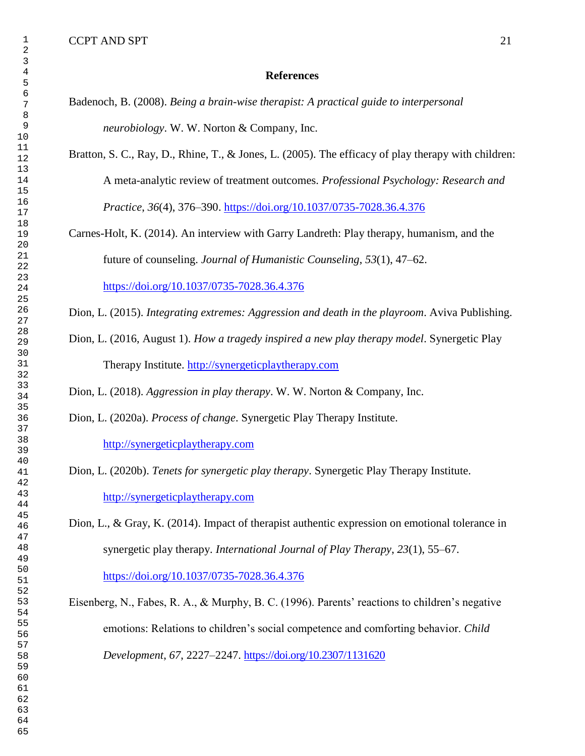### **References**

- Badenoch, B. (2008). *Being a brain-wise therapist: A practical guide to interpersonal neurobiology*. W. W. Norton & Company, Inc.
- Bratton, S. C., Ray, D., Rhine, T., & Jones, L. (2005). The efficacy of play therapy with children: A meta-analytic review of treatment outcomes. *Professional Psychology: Research and Practice*, *36*(4), 376–390.<https://doi.org/10.1037/0735-7028.36.4.376>
- Carnes-Holt, K. (2014). An interview with Garry Landreth: Play therapy, humanism, and the future of counseling. *Journal of Humanistic Counseling*, *53*(1), 47–62. <https://doi.org/10.1037/0735-7028.36.4.376>
- Dion, L. (2015). *Integrating extremes: Aggression and death in the playroom*. Aviva Publishing.
- Dion, L. (2016, August 1). *How a tragedy inspired a new play therapy model*. Synergetic Play Therapy Institute. [http://synergeticplaytherapy.com](http://synergeticplaytherapy.com/)

Dion, L. (2018). *Aggression in play therapy*. W. W. Norton & Company, Inc.

Dion, L. (2020a). *Process of change*. Synergetic Play Therapy Institute.

[http://synergeticplaytherapy.com](http://synergeticplaytherapy.com/)

Dion, L. (2020b). *Tenets for synergetic play therapy*. Synergetic Play Therapy Institute. [http://synergeticplaytherapy.com](http://synergeticplaytherapy.com/)

Dion, L., & Gray, K. (2014). Impact of therapist authentic expression on emotional tolerance in synergetic play therapy. *International Journal of Play Therapy*, *23*(1), 55–67. <https://doi.org/10.1037/0735-7028.36.4.376>

Eisenberg, N., Fabes, R. A., & Murphy, B. C. (1996). Parents' reactions to children's negative emotions: Relations to children's social competence and comforting behavior. *Child Development*, *67*, 2227–2247.<https://doi.org/10.2307/1131620>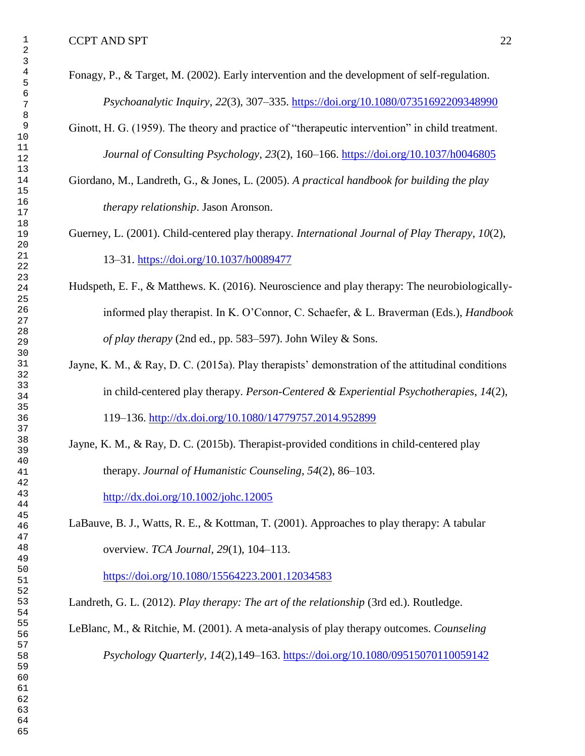- Fonagy, P., & Target, M. (2002). Early intervention and the development of self-regulation. *Psychoanalytic Inquiry*, *22*(3), 307–335.<https://doi.org/10.1080/07351692209348990>
- Ginott, H. G. (1959). The theory and practice of "therapeutic intervention" in child treatment. *Journal of Consulting Psychology*, *23*(2), 160–166. [https://doi.org/10.1037/h0046805](https://doi.apa.org/doi/10.1037/h0046805)
- Giordano, M., Landreth, G., & Jones, L. (2005). *A practical handbook for building the play therapy relationship*. Jason Aronson.
- Guerney, L. (2001). Child-centered play therapy. *International Journal of Play Therapy*, *10*(2), 13–31. [https://doi.org/10.1037/h0089477](https://doi.apa.org/doi/10.1037/h0089477)
- Hudspeth, E. F., & Matthews. K. (2016). Neuroscience and play therapy: The neurobiologicallyinformed play therapist. In K. O'Connor, C. Schaefer, & L. Braverman (Eds.), *Handbook of play therapy* (2nd ed., pp. 583–597). John Wiley & Sons.
- Jayne, K. M., & Ray, D. C. (2015a). Play therapists' demonstration of the attitudinal conditions in child-centered play therapy. *Person-Centered & Experiential Psychotherapies*, *14*(2), 119–136.<http://dx.doi.org/10.1080/14779757.2014.952899>
- Jayne, K. M., & Ray, D. C. (2015b). Therapist-provided conditions in child-centered play therapy. *Journal of Humanistic Counseling*, *54*(2), 86–103. <http://dx.doi.org/10.1002/johc.12005>
- LaBauve, B. J., Watts, R. E., & Kottman, T. (2001). Approaches to play therapy: A tabular overview. *TCA Journal*, *29*(1), 104–113.

<https://doi.org/10.1080/15564223.2001.12034583>

Landreth, G. L. (2012). *Play therapy: The art of the relationship* (3rd ed.). Routledge.

LeBlanc, M., & Ritchie, M. (2001). A meta-analysis of play therapy outcomes. *Counseling Psychology Quarterly, 14*(2)*,*149–163.<https://doi.org/10.1080/09515070110059142>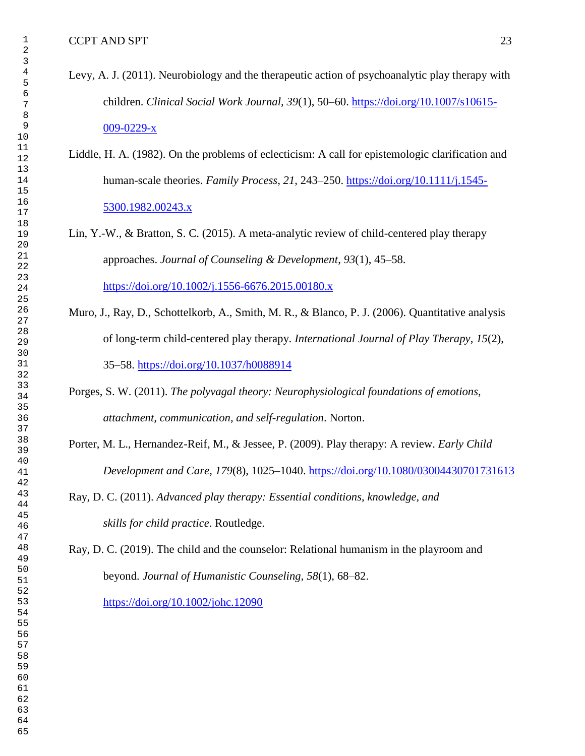- Levy, A. J. (2011). Neurobiology and the therapeutic action of psychoanalytic play therapy with children. *Clinical Social Work Journal, 39*(1), 50–60. [https://doi.org/10.1007/s10615-](https://doi.org/10.1007/s10615-009-0229-x) [009-0229-x](https://doi.org/10.1007/s10615-009-0229-x)
- Liddle, H. A. (1982). On the problems of eclecticism: A call for epistemologic clarification and human-scale theories. *Family Process*, *21*, 243–250. [https://doi.org/10.1111/j.1545-](https://doi.org/10.1111/j.1545-5300.1982.00243.x) [5300.1982.00243.x](https://doi.org/10.1111/j.1545-5300.1982.00243.x)
- Lin, Y.-W., & Bratton, S. C. (2015). A meta-analytic review of child-centered play therapy approaches. *Journal of Counseling & Development*, *93*(1), 45–58. <https://doi.org/10.1002/j.1556-6676.2015.00180.x>
- Muro, J., Ray, D., Schottelkorb, A., Smith, M. R., & Blanco, P. J. (2006). Quantitative analysis of long-term child-centered play therapy. *International Journal of Play Therapy*, *15*(2), 35–58. [https://doi.org/10.1037/h0088914](https://doi.apa.org/doi/10.1037/h0088914)
- Porges, S. W. (2011). *The polyvagal theory: Neurophysiological foundations of emotions, attachment, communication, and self-regulation*. Norton.
- Porter, M. L., Hernandez-Reif, M., & Jessee, P. (2009). Play therapy: A review. *Early Child Development and Care*, *179*(8), 1025–1040.<https://doi.org/10.1080/03004430701731613>
- Ray, D. C. (2011). *Advanced play therapy: Essential conditions, knowledge, and skills for child practice*. Routledge.

Ray, D. C. (2019). The child and the counselor: Relational humanism in the playroom and beyond. *Journal of Humanistic Counseling*, *58*(1), 68–82.

<https://doi.org/10.1002/johc.12090>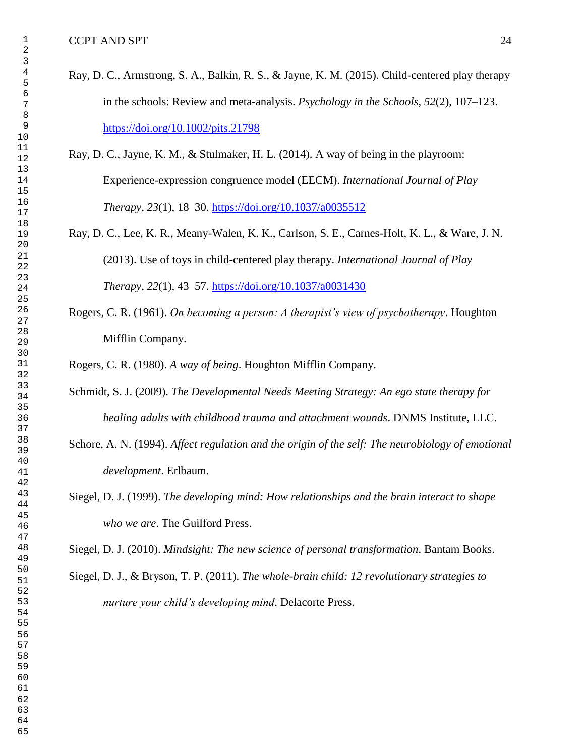- Ray, D. C., Armstrong, S. A., Balkin, R. S., & Jayne, K. M. (2015). Child-centered play therapy in the schools: Review and meta-analysis. *Psychology in the Schools*, *52*(2), 107–123. <https://doi.org/10.1002/pits.21798>
- Ray, D. C., Jayne, K. M., & Stulmaker, H. L. (2014). A way of being in the playroom: Experience-expression congruence model (EECM). *International Journal of Play Therapy*, *23*(1), 18–30.<https://doi.org/10.1037/a0035512>
- Ray, D. C., Lee, K. R., Meany-Walen, K. K., Carlson, S. E., Carnes-Holt, K. L., & Ware, J. N. (2013). Use of toys in child-centered play therapy. *International Journal of Play Therapy*, *22*(1), 43–57.<https://doi.org/10.1037/a0031430>
- Rogers, C. R. (1961). *On becoming a person: A therapist's view of psychotherapy*. Houghton Mifflin Company.

Rogers, C. R. (1980). *A way of being*. Houghton Mifflin Company.

- Schmidt, S. J. (2009). *The Developmental Needs Meeting Strategy: An ego state therapy for healing adults with childhood trauma and attachment wounds*. DNMS Institute, LLC.
- Schore, A. N. (1994). *Affect regulation and the origin of the self: The neurobiology of emotional development*. Erlbaum.
- Siegel, D. J. (1999). *The developing mind: How relationships and the brain interact to shape who we are*. The Guilford Press.

Siegel, D. J. (2010). *Mindsight: The new science of personal transformation*. Bantam Books.

Siegel, D. J., & Bryson, T. P. (2011). *The whole-brain child: 12 revolutionary strategies to nurture your child's developing mind*. Delacorte Press.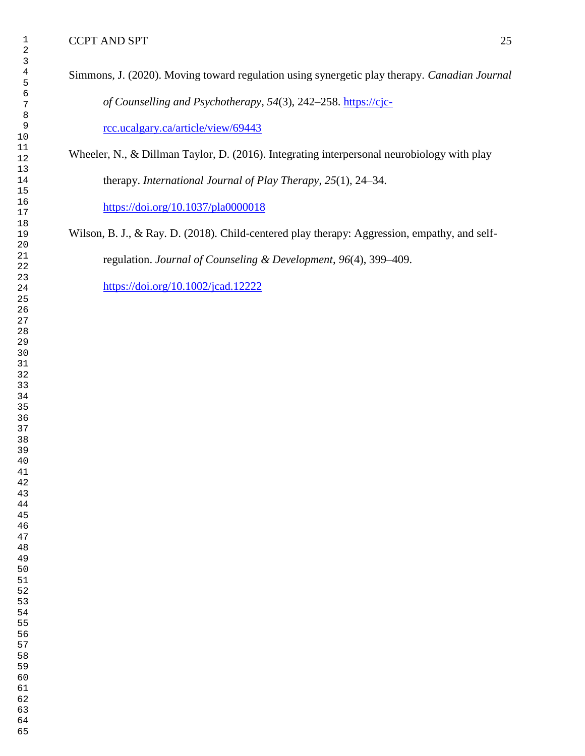Simmons, J. (2020). Moving toward regulation using synergetic play therapy. *Canadian Journal of Counselling and Psychotherapy*, *54*(3), 242–258. [https://cjc-](https://cjc-rcc.ucalgary.ca/article/view/69443)

[rcc.ucalgary.ca/article/view/69443](https://cjc-rcc.ucalgary.ca/article/view/69443)

Wheeler, N., & Dillman Taylor, D. (2016). Integrating interpersonal neurobiology with play therapy. *International Journal of Play Therapy*, *25*(1), 24–34. <https://doi.org/10.1037/pla0000018>

Wilson, B. J., & Ray. D. (2018). Child-centered play therapy: Aggression, empathy, and selfregulation. *Journal of Counseling & Development*, *96*(4), 399–409.

<https://doi.org/10.1002/jcad.12222>